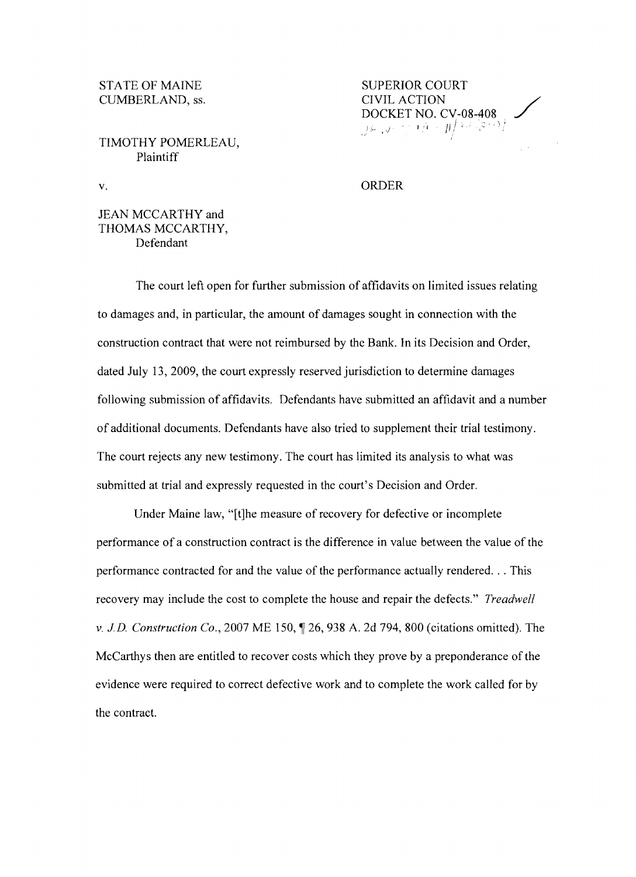CUMBERLAND, ss.

TIMOTHY POMERLEAU, Plaintiff

## STATE OF MAINE SUPERIOR COURT **DOCKET NO. CV-08-408**<br> *JE J:* (*1)*  $1/1 - \frac{1}{l}$

v. ORDER

## JEAN MCCARTHY and THOMAS MCCARTHY, Defendant

The court left open for further submission of affidavits on limited issues relating to damages and, in particular, the amount of damages sought in connection with the construction contract that were not reimbursed by the Bank. In its Decision and Order, dated July 13, 2009, the court expressly reserved jurisdiction to determine damages following submission of affidavits. Defendants have submitted an affidavit and a number of additional documents. Defendants have also tried to supplement their trial testimony. The court rejects any new testimony. The court has limited its analysis to what was submitted at trial and expressly requested in the court's Decision and Order.

Under Maine law, "[t]he measure of recovery for defective or incomplete performance of a construction contract is the difference in value between the value of the performance contracted for and the value of the performance actually rendered... This recovery may include the cost to complete the house and repair the defects." *Treadwell*  v. *J.D. Construction Co.*, 2007 ME 150,  $\parallel$  26, 938 A. 2d 794, 800 (citations omitted). The McCarthys then are entitled to recover costs which they prove by a preponderance of the evidence were required to correct defective work and to complete the work called for by the contract.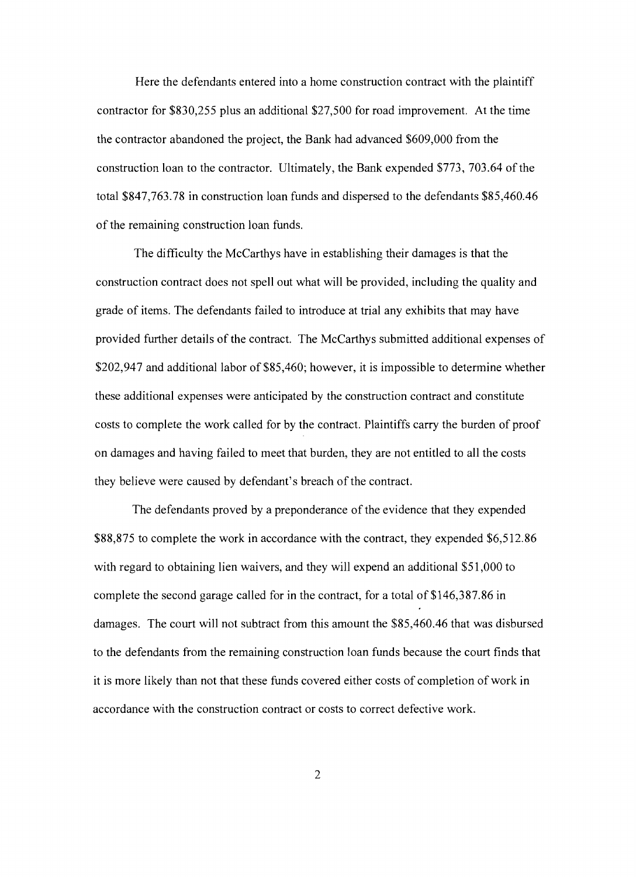Here the defendants entered into a home construction contract with the plaintiff contractor for \$830,255 plus an additional \$27,500 for road improvement. At the time the contractor abandoned the project, the Bank had advanced \$609,000 from the construction loan to the contractor. Ultimately, the Bank expended \$773, 703.64 of the total \$847,763.78 in construction loan funds and dispersed to the defendants \$85,460.46 of the remaining construction loan funds.

The difficulty the McCarthys have in establishing their damages is that the construction contract does not spell out what will be provided, including the quality and grade of items. The defendants failed to introduce at trial any exhibits that may have provided further details of the contract. The McCarthys submitted additional expenses of \$202,947 and additional labor of \$85,460; however, it is impossible to determine whether these additional expenses were anticipated by the construction contract and constitute costs to complete the work called for by the contract. Plaintiffs carry the burden of proof on damages and having failed to meet that burden, they are not entitled to all the costs they believe were caused by defendant's breach of the contract.

The defendants proved by a preponderance of the evidence that they expended \$88,875 to complete the work in accordance with the contract, they expended \$6,512.86 with regard to obtaining lien waivers, and they will expend an additional \$51,000 to complete the second garage called for in the contract, for a total of \$146,387.86 in damages. The court will not subtract from this amount the \$85,460.46 that was disbursed to the defendants from the remaining construction loan funds because the court finds that it is more likely than not that these funds covered either costs of completion of work in accordance with the construction contract or costs to correct defective work.

2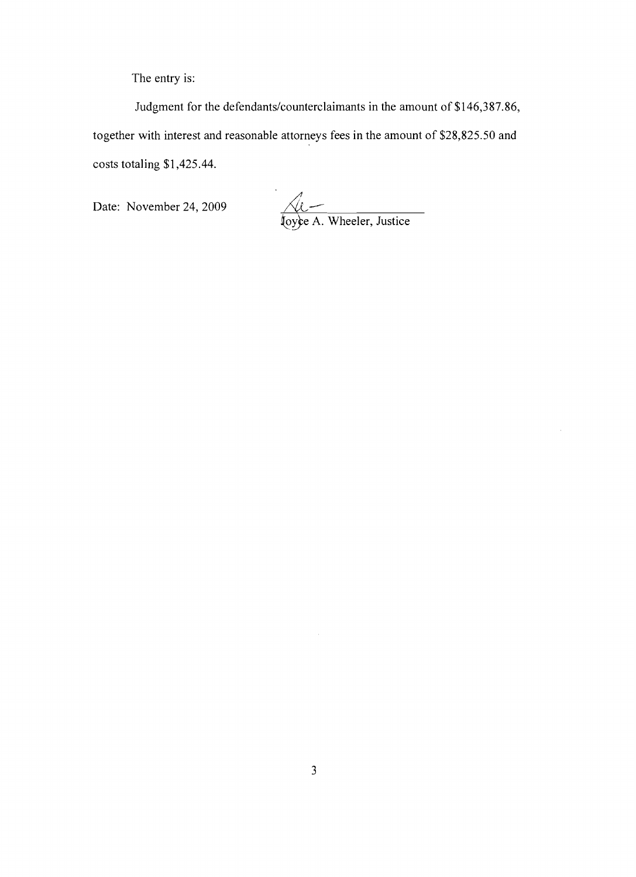The entry is:

Judgment for the defendants/counterclaimants in the amount of \$146,387.86, together with interest and reasonable attorneys fees in the amount of \$28,825.50 and costs totaling \$1,425.44.

Date: November 24, 2009

Le A. Wheeler, Justice

 $\bar{\mathcal{A}}$